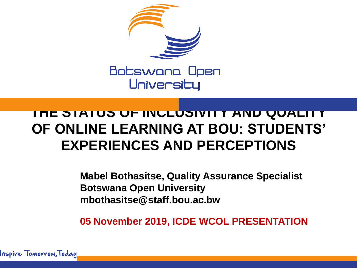

#### **THE STATUS OF INCLUSIVITY AND QUALITY OF ONLINE LEARNING AT BOU: STUDENTS' EXPERIENCES AND PERCEPTIONS**

**Mabel Bothasitse, Quality Assurance Specialist Botswana Open University mbothasitse@staff.bou.ac.bw**

**05 November 2019, ICDE WCOL PRESENTATION**

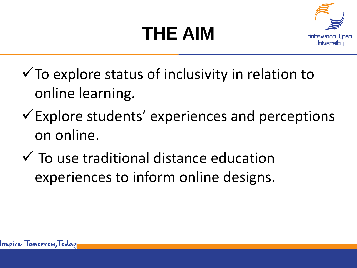### **THE AIM**



- $\checkmark$  To explore status of inclusivity in relation to online learning.
- $\checkmark$  Explore students' experiences and perceptions on online.
- $\checkmark$  To use traditional distance education experiences to inform online designs.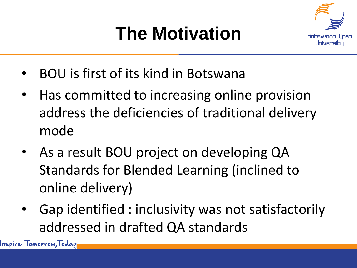#### **The Motivation**



- BOU is first of its kind in Botswana
- Has committed to increasing online provision address the deficiencies of traditional delivery mode
- As a result BOU project on developing QA Standards for Blended Learning (inclined to online delivery)
- Gap identified : inclusivity was not satisfactorily addressed in drafted QA standards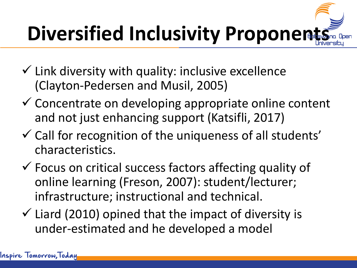# **Diversified Inclusivity Proponents**

- $\checkmark$  Link diversity with quality: inclusive excellence (Clayton-Pedersen and Musil, 2005)
- $\checkmark$  Concentrate on developing appropriate online content and not just enhancing support (Katsifli, 2017)
- $\checkmark$  Call for recognition of the uniqueness of all students' characteristics.
- $\checkmark$  Focus on critical success factors affecting quality of online learning (Freson, 2007): student/lecturer; infrastructure; instructional and technical.
- $\checkmark$  Liard (2010) opined that the impact of diversity is under-estimated and he developed a model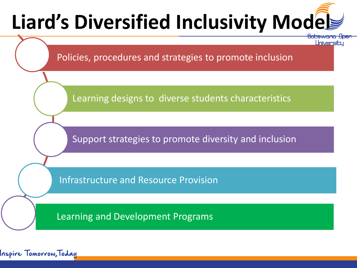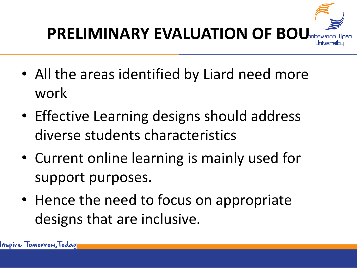

- All the areas identified by Liard need more work
- Effective Learning designs should address diverse students characteristics
- Current online learning is mainly used for support purposes.
- Hence the need to focus on appropriate designs that are inclusive.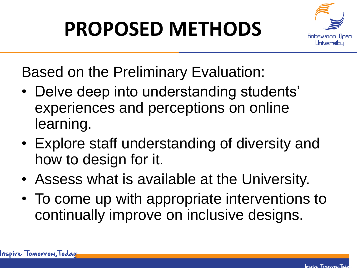### **PROPOSED METHODS**



Based on the Preliminary Evaluation:

- Delve deep into understanding students' experiences and perceptions on online learning.
- Explore staff understanding of diversity and how to design for it.
- Assess what is available at the University.
- To come up with appropriate interventions to continually improve on inclusive designs.